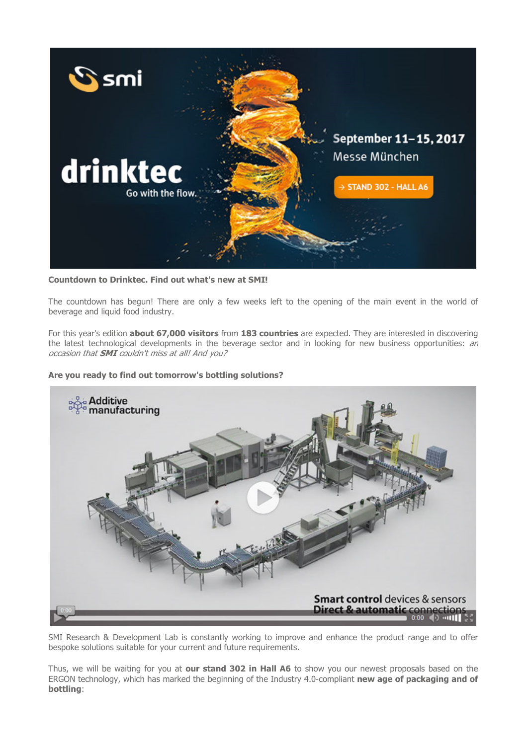

## Countdown to Drinktec. Find out what's new at SMI!

The countdown has begun! There are only a few weeks left to the opening of the main event in the world of beverage and liquid food industry.

For this year's edition **about 67,000 visitors** from 183 countries are expected. They are interested in discovering the latest technological developments in the beverage sector and in looking for new business opportunities: an occasion that **SMI** couldn't miss at all! And you?

## Are you ready to find out tomorrow's bottling solutions?



SMI Research & Development Lab is constantly working to improve and enhance the product range and to offer bespoke solutions suitable for your current and future requirements.

Thus, we will be waiting for you at our stand 302 in Hall A6 to show you our newest proposals based on the ERGON technology, which has marked the beginning of the Industry 4.0-compliant new age of packaging and of bottling: